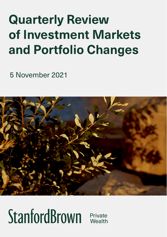## **Quarterly Review** of Investment Markets and Portfolio Changes

<sup>13</sup> August 2021 <sup>5</sup> November 2021



# StanfordBrown

Private Wealth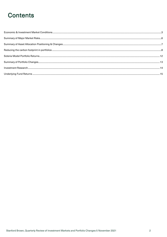## **Contents**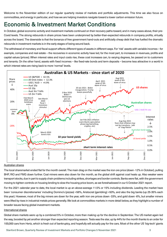Welcome to the November edition of our regular quarterly review of markets and portfolio adjustments. This time we also focus on commodities, and energy in particular, and how we are helping investors navigate toward a lower carbon emission future.

### <span id="page-2-0"></span>Economic & Investment Market Conditions

In October, global economic activity and investment markets continued on their recovery paths toward, and in many cases above, their pre-Covid levels. The strong rebounds in share prices have been underpinned by better-than-expected rebounds in company profits, virtually across the board. The downside is that the bonanza of free government hand-outs and artificially cheap debt that has fuelled the dramatic rebounds in investment markets is in the early stages of being wound back.

The withdrawal of monetary and fiscal support affects different types of assets in different ways. For 'risk' assets with variable incomes – for example, companies and real estate – the recoveries in economic activity have led, for the most part, to increases in revenues, profits and capital values (prices). When interest rates and input costs rise, these cost increases can, to varying degrees, be passed on to customers and tenants. On the other hand, assets with fixed incomes – like fixed-rate bonds and term deposits – become less attractive in a world in which interest rates are rising back to more 'normal' levels.



#### Australian shares

The local sharemarket ended flat for the month overall. The main drag on the market was the iron ore price (down -12% in October), pulling BHP, RIO and FMG down further. Coal miners were also down for the month, as the global shift against coal heats up. Also weaker were transport stocks, due in part to supply chain problems including strikes, shortages and border controls. Banks were flat, with the government moving to tighten controls on housing lending to slow the housing price boom, as we foreshadowed in our 5 October 2021 report.

For the 2021 calendar year to date, the local market is up an above-average 11.5% or 15% including dividends. Leading the market have been 'consumer discretionaries' including Domino's (pizzas) +56%, Aristocrat (gambling) +50%, and also the big banks (up 25-35% each this year). However, most of the big miners are down for the year, with iron ore prices down -33%, and gold down -6%, but smaller miners were lifted by rises in industrial metals prices generally. We look at commodities markets in more detail below, as they highlight a number of broader issues facing global investment markets.

#### International shares

Global share markets were up by a combined 5% in October, more than making up for the decline in September. The US market again led the way, boosted by yet another stronger than expected reporting season. Tesla was the star, up by 44% for the month thanks to an order for 100,000 cars from Hertz, which is fresh out of bankruptcy, and hopefully will actually pay for the cars. Most of the other US 'big-tech' giants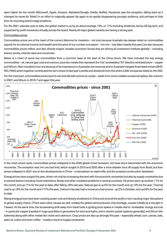were higher for the month (Microsoft, Apple, Amazon, Alphabet/Google, Nvidia, Netflix). Facebook was the exception, falling back as it changed its name (to 'Meta') in an effort to magically appear hip again to its rapidly disappearing younger audience, and perhaps to hide from its mounting brand image problems.

For the 2021 calendar year to date, the global market is up by an above-average 15%, or 17% including dividends, led by US big tech, and supported by profit recoveries virtually across the board. Nearly all major global markets are having a strong year.

#### Commodities prices

Commodities prices are at the heart of the current dilemma for investors – not only because Australia has always relied on commodities exports for its national income and wealth (and the price of our number one export – iron ore – has fallen heavily this year), but also because commodities prices reflect, and also directly impact, broader economic forces that are driving all investment markets globally – including shares, bonds, interest rates and currencies.

Below is a chart of some key commodities from a common base at the start of the China boom. We have included the key energy commodities – oil, natural gas, coal and uranium, plus two metals that represent the 'hot' renewables/'EV' (electric vehicles) boom – copper and lithium. Also included is iron ore because of its importance to Australian tax revenues and to Australia's largest three listed miners (BHP, RIO, FMG) which together contributed the lion's share of last year's profits and dividends from the entire 2,200 companies listed on the ASX.

For the most part, commodities prices tend to rise and fall with economic cycles – aside from some notable occasional spikes, like uranium in 2007, and lithium in 2016-7 and again this year.



In the most recent cycle, commodities prices collapsed in the 2020 global Covid recession, but have since rebounded with the economic recoveries. The exception was iron ore (red line), which surged in 2019 and 2020 after a mine disaster shut off supply from Brazil, but then prices collapsed in 2021 due to two developments in China – a clampdown on steel mills, and the property construction slowdown.

Energy prices have surged this year, driven not only by increasing demand with the economic recoveries but also by supply constraints due to several factors including Covid restrictions, floods and other unrelated problems in several countries. Oil prices were up another 11% for the month, and up 71% for the year to date, after falling -20% last year. Natural gas is up 6% for the month and up 13% for the year. Thermal coal is up 19% for the month and 177% this year. Uranium has also had a revival as a fuel source - up 2% in October, and up 55% for the year to date.

Rising energy prices have been causing power cuts and factory shutdowns in China and around the world, in turn causing major disruptions to global supply chains. (There were other causes as well, notably the global semiconductor chip shortage, caused initially by a drought in Taiwan). At the same time, the accelerating shift away from fossil fuels is igniting price spikes in metals vital to 'renewable' energy sources – in particular copper (needed in huge quantities in generators for wind and hydro, and in electric power systems generally), and lithium (for batteries) along with other metals like nickel and cadmium. Crop prices are also up strongly this year – especially wheat, corn, canola, oats, palm oil, cotton and even coffee - mostly a result of supply constraints.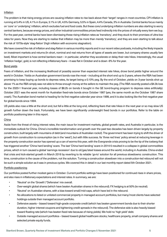#### **Inflation**

The problem is that rising energy prices are causing inflation rates to rise back above their 'target' ranges in most countries. CPI inflation is running at 5.4% in US, 4.1% in Europe, 3.1% in UK, 4.5% Germany, 5.5% in Spain, 4.4% Canada, 3% in Australia. Central banks focus mainly on 'core' or 'underlying' inflation, which excludes fuel and food costs. But these core/underlying inflation numbers are also starting to worry central bankers, because energy prices, and other industrial commodities prices feed indirectly into the prices of virtually every item we buy. For the past year, central banks have been dismissing these rising inflation rates as 'transitory', and they stuck to their promises of ultra-low rates for years. Now they are starting to realise that inflation may be more than merely 'transitory', and they are even starting to talk about the risk of 1970s-style 'stag-flation' (high inflation with economic stagnation).

We have covered the risk of inflation and stag-flation in various monthly reports and in our recent video podcasts, including the likely impacts on investment markets and returns (In short, nominal and real returns from all types of assets are lower, but company shares usually fare best). Most important is how central bankers react – in particular, whether they accelerate or delay their rate hikes. Interestingly, the usual 'inflation hedge', gold, is not reflecting inflationary fears – it was flat in October and is down -6% for the year.

#### Bond yields

Fears of inflation, and the increasing likelihood of possibly sooner than expected interest rate hikes, drove bond yields higher around the world in October. Yields on Australian government bonds rose the most – including at the short end up to 3 years, where the RBA had been promising to keep buying up bonds to depress rates, its target being a 0.10% peg. By the end of October, yields on 3-year bonds shot up above 1% as the RBA simply was not able to throw enough money at the sellers to maintain the peg. (The RBA recently posted a \$4.3b loss for the 2020-1 financial year, including losses of \$8.2b on bonds it bought in the QE bond-buying program to depress rates artificially). October 2021 was the worst month for Australian fixed-rate bonds since October 1987 (yes, the same month as the October 1987 share crash). The Australian bond market is heading for its first negative calendar year since 1999, and it is also looking like the first negative year for global bonds since 1994.

US yields also rose a little at the short end, but fell a little at the long end, reflecting fears that rate hikes in the next year or so may slow US growth further down the track. Fortunately, we have been significantly underweight fixed bonds in our portfolios. Refer to the table on portfolio positioning later in this report.

#### China

Aside from the threat of rising interest rates, the main issue for investment markets, global growth rates, and Australia in particular, is the immediate outlook for China. China's incredible transformation and growth over the past two decades has been driven largely by property construction, built largely with mountains of debt (and mountains of Australian rocks!). The government has been trying to shift the driver of growth from construction to consumption (as in the 'west'), but with little success. Its 'three red lines' policy aimed at reducing leverage in the property construction sector has opened up a can of worms this year, with the Evergrande crisis proving to be the tip of the iceberg that has triggered another 'China hard landing' scare. The last 'China hard landing' scare in 2014-5 resulted in a collapse in global commodities prices, which in turn caused a global 'earnings recession' due to oil/gas/steel losses around the world, including in Australia. China ended that crisis and kick-started growth in March 2016 by reverting to its reliable 'go-to' solution for all previous slowdowns: construction. This time, construction is the cause of the problem, not the solution. Turning a construction slowdown into a construction-led rebound will not be such a simple solution as it was in previous cycles. We covered this in detail in our last monthly report dated 5th October 2021.

#### Portfolio positioning

Our portfolios posted further modest gains in October. Current portfolio settings have been positioned for continued rises in share prices, and also rises in inflationary expectations and interest rates. In summary, we are:

- 'Neutral' on the 'Growth'/'Defensive' mix overall.
- Over-weight global shares (which have beaten Australian shares in the rebound). FX hedging is at 50% (ie neutral).
- 'Neutral' on Australian shares, with a bias toward small/mid-caps, which have led in the rebound.
- No allocations to listed or unlisted commercial property in managed account portfolios, but many/most clients have selected holdings outside their managed account portfolio.
- Defensive assets biased toward high-grade corporate credit (which has beaten government bonds due to their shorter duration, higher interest coupons and tightening credit spreads in the rebound). The defensive side is also heavily biased toward floating rate (which has beaten fixed rate because of rising yields). We hold no 'high yield' debt.
- Outside managed account portfolios biased toward global healthcare stocks, healthcare property, small company shares and selected private equity funds.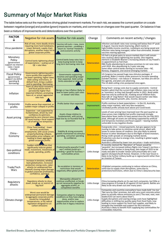### <span id="page-5-0"></span>Summary of Major Market Risks

The table below sets out the main factors driving global investment markets. For each risk, we assess the current position on a scale between negative (orange) and positive (green) impacts on markets, and comments on changes over the past quarter. On balance it has been a mixture of improvements and deteriorations over the quarter:

| <b>FACTOR</b><br>↓                                                                     | Negative for risk assets                                                                                                                                                                                                         | Positive for risk assets<br>Change                                                                                                                       |                      | Comments on recent activity / changes                                                                                                                                                                                                                                                                                                                                                                                                                                                                                                                                                                      |  |  |
|----------------------------------------------------------------------------------------|----------------------------------------------------------------------------------------------------------------------------------------------------------------------------------------------------------------------------------|----------------------------------------------------------------------------------------------------------------------------------------------------------|----------------------|------------------------------------------------------------------------------------------------------------------------------------------------------------------------------------------------------------------------------------------------------------------------------------------------------------------------------------------------------------------------------------------------------------------------------------------------------------------------------------------------------------------------------------------------------------------------------------------------------------|--|--|
| Virus pandemic                                                                         | Risk of new, more deadly strains<br>requiring more hard lockdowns.<br>Lower demand, supply chain<br>disruptions, another major hit to<br>global corporate profits                                                                | Vaccine roll-outs + new, more<br>general vaccines – enabling a<br>return to 'normal' freedoms<br>and economic activity                                   | Improvement          | Infection and death rates now running well below their 4 <sup>th</sup> peak<br>in August. Vaccine levels improving, albeit mainly in<br>high/middle-income countries. Lockdowns are being eased and<br>infection rates being managed, rather than eliminated. Broader<br>vaccines nearing approval.                                                                                                                                                                                                                                                                                                        |  |  |
| Monetary<br>Policy<br>(government<br>support via interest<br>rates + bond-<br>buying)  | Central banks tightening ahead<br>of expectations - scaling out of<br>QE + rate hikes                                                                                                                                            | Central banks keep rates low +<br>keep buying bonds to keep<br>long term borrowing rates low                                                             | <b>Deterioration</b> | US Fed is at great pains to assure markets that it will remain<br>very cautious about tightening too quickly. One negative<br>element is Elizabeth Warren's increasing attacks on Jay Powell's<br>re-appointment as Fed Chair.<br>RBA finally abandoning its previous promises to not raise rates<br>until 2024. Also abandoning its 3-year rate peg.<br>Some other central banks starting to increase rates - NZ.<br>Norway, Singapore, and several emerging markets                                                                                                                                      |  |  |
| <b>Fiscal Policy</b><br>(government<br>support via deficit<br>spending &<br>borrowing) | Governments tightening policy<br>more quickly than expected $-$<br>via lower spending, higher taxes<br>Debt ceiling restrictions, or<br>default fears, bring a sudden<br>end to spending / borrowing                             | Governments supporting<br>incomes and spending longer<br>than expected. Debt ceiling<br>limits extended or delayed                                       | Improvement          | US Congress has passed huge new stimulus packages. If<br>anything, Biden is mainly under pressure to increase spending<br>(Sanders faction) – not reduce it. However, tax hikes are still on<br>the agenda, and plans are advancing.<br>The US debt-ceiling crisis postponed once again.                                                                                                                                                                                                                                                                                                                   |  |  |
| Inflation                                                                              | Years of ultra-loose monetary<br>and fiscal policies led to<br>persistently higher than<br>expected inflation, prompting<br>fears of, or actual, aggressive<br>rate rises                                                        | Benign or low inflation likely to<br>lead to lower policy cash rates<br>or slower rate hikes                                                             | <b>Deterioration</b> | Rising food + energy costs due to supply constraints - Central<br>bankers admit that the current high inflation rates may not be<br>as 'transitory' as they had thought earlier in 2021. Bond yields<br>kept low only by artificial QE, masking actual inflation fears.<br>Now talk of 'stag-flation' that would require earlier rate hikes<br>but with stagnant growth, jobs, income, demand.                                                                                                                                                                                                             |  |  |
| Corporate<br>profits                                                                   | Profits worse than expected, or<br>sudden major collapse in profits                                                                                                                                                              | Profits better than expected                                                                                                                             | Improvement          | Profits continue to beat expectations – in the US, Australia,<br>other major markets, with very few exceptions.<br>US/Global profits already back above pre-Covid levels                                                                                                                                                                                                                                                                                                                                                                                                                                   |  |  |
| Asset pricing                                                                          | Expensive – not supported by<br>fundamentals, driven by over-<br>confidence & optimism,<br>supported by zero interest rates<br>QE asset buying + fiscal support<br>- all of which are temporary                                  | Assets cheap relative to<br>fundamentals, with pricing<br>kept low by un-founded fear &<br>pessimism                                                     | Improvement          | Levels of over-pricing have improved over the past quarter as<br>share prices risen (slightly) but profits improved strongly.<br>Speculative fever seems to have waned since the Jan-Feb 2021<br>peak, although all assets are still being supported by artificial<br>and temporary monetary and fiscal support – leaving markets<br>vulnerable to any negative shocks.                                                                                                                                                                                                                                    |  |  |
| China -<br>Economy                                                                     | China 'hard landing' - lower<br>demand, production,<br>employment, with social unrest,<br>property/banking collapse,<br>commodities price collapse, all<br>leading to lower aggregate<br>global corporate profits                | Stability & strong economic<br>growth maintained via stimulus<br>spending, consumer spending<br>& confidence                                             | <b>Deterioration</b> | Evergrande crisis - missed payments, but gov appears to be<br>moving to take action to minimise social unrest, albeit with<br>losses to some classes of creditors. Gov also likely to extend<br>finance to other developers due to the flight of bond investors.<br>Rising credit spreads on emerging markets bonds.<br>Production cuts due to energy crisis, resulting in global supply<br>chain problems.<br>Australia is affected by lower iron ore prices + trade restrictions.                                                                                                                        |  |  |
| Geo-political<br>conditions                                                            | Sudden military action that<br>significantly reduces global<br>trade, investment, movement of<br>goods, spending, profits                                                                                                        | Predominantly peaceful ('cold<br>war') military build-up +<br>spending = good for business +<br>commodities prices                                       | Little change        | Xi recently claimed the 'liberation' of Taiwan would be<br>'peaceful', but increased military flights into Taiwan's territory +<br>further violent clashes in Hong Kong. Sets target of 2025 to be<br>ready and able to invade Taiwan (and presumably win a war<br>against US/Japan/South Korea). However, in the near future is<br>likely to be further military build-up in region/world rather than<br>an invasion of Taiwan.                                                                                                                                                                           |  |  |
| Trade/Tech<br>Wars                                                                     | Increase in tensions, winding<br>back globalisation, increased<br>protection raising costs, cyber-<br>attacks (or widespread fear<br>thereof) causing major damage<br>to global corporate profitability,<br>confidence, spending | No escalation in tensions or<br>restrictions that would<br>negatively affect global profits                                                              | <b>Deterioration</b> | US/global companies continuing to reduce reliance on China,<br>some due to supply chain disruptions, some due to<br>protection/restrictions, others due to China's data/security laws                                                                                                                                                                                                                                                                                                                                                                                                                      |  |  |
| Regulatory<br>attacks                                                                  | Regulatory attacks to close<br>down, break up, or restrict US<br>'big-tech'                                                                                                                                                      | Monopolies allowed to<br>continue unaffected; or break-<br>up not necessarily negative for<br>aggregate profits; or<br>competition benefits              | Little change        | China increasing attacks on its own tech companies, but little or<br>slow progress in Europe & US against US tech giants. Battles are<br>likely to be very drawn out over many years                                                                                                                                                                                                                                                                                                                                                                                                                       |  |  |
| Climate change                                                                         | Worst case would be<br>widespread permanent damage<br>to aggregate corporate profits<br>caused by rising global<br>temperatures, or by radical<br>legislation designed to cut<br>carbon emissions                                | Companies adapt to changing<br>conditions as they have always<br>done, and/or new<br>opportunities arise to replace<br>profits lost in legacy industries | Little change        | Companies and countries everywhere have made bold 'me-too'<br>'Net zero by 20xx' promises, but with very scant concrete action<br>plans to actually reduce emissions to zero ('The next, next, next<br>leader/CEO can worry about that!').<br>Supply disruptions and soaring energy costs have highlighted<br>difficulties in shifting too quickly away from fossil fuels, now<br>leading to more support for fossil fuel supplies, and likely to<br>elongate the timetable and support for the transition.<br>Australia is likely to benefit from supplying key commodities for<br>renewables industries. |  |  |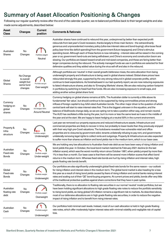## <span id="page-6-0"></span>Summary of Asset Allocation Positioning & Changes<br>Following our regular quarterly review after the end of the calendar quarter, we re-balanced portfolios back to their target weights and also

made some adjustments, described below:

| <b>Asset</b><br><b>Class</b>               | Changes                                                       | <b>Current</b><br>position              | <b>Comments &amp; Rationale</b>                                                                                                                                                                                                                                                                                                                                                                                                                                                                                                                                                                                                                                                                                                                                                                                                                                                                                                                                                     |
|--------------------------------------------|---------------------------------------------------------------|-----------------------------------------|-------------------------------------------------------------------------------------------------------------------------------------------------------------------------------------------------------------------------------------------------------------------------------------------------------------------------------------------------------------------------------------------------------------------------------------------------------------------------------------------------------------------------------------------------------------------------------------------------------------------------------------------------------------------------------------------------------------------------------------------------------------------------------------------------------------------------------------------------------------------------------------------------------------------------------------------------------------------------------------|
| Australian<br><b>Shares</b>                | No<br>Changes                                                 | Portfolio weight<br>Neutral             | Australian shares have continued to rebound this year, underpinned by better than expected profit<br>rebounds from last year's Covid recession, thanks largely to three main factors - the extraordinarily<br>generous and unprecedented monetary policy (ultra-low interest rates and bond-buying); ultra-loose fiscal<br>policy (war-time-like deficit spending) from the government (future taxpayers); and China's stimulus<br>spending boost. Although each of these factors is now retreating - interest rates will be raised in the coming<br>year or so; government hand-outs are being withdrawn; and China's economy and construction boom are<br>slowing. Our portfolios are biased toward small and mid-sized companies, and these are faring better than<br>larger companies during the rebound. The actively managed funds we use in portfolios are selected for their<br>defensive qualities and they added value during the virus sell-off and also in the rebound. |
| Global<br><b>Shares</b>                    | No Change<br>to overall<br>weight but<br>some fund<br>changes | Portfolio weight<br>Over-weight         | Although portfolios are 'neutral' in their overall growth/defensive mixes, the extra allocation from being<br>underweight property and infrastructure is being used in global shares instead. Global share prices have<br>rebounded strongly this year, supported by the very strong rebound in global corporate profits, which<br>continue to beat expectations. As foreshadowed in our last quarterly report, we are now reducing exposures<br>to listed infrastructure shares, and also to 'Emerging Markets' shares. We are also reducing carbon footprint<br>in portfolios by switching to fossil-fuel-free funds. We are also increasing exposure to small-caps, and<br>adding another active global share fund.                                                                                                                                                                                                                                                              |
| Currency<br>hedging on<br>global<br>shares | No<br>Changes                                                 | 0% Hedged 100%<br><b>Around Neutral</b> | Currency hedging on global shares remains at 50%. The Australian dollar is currently a little above its<br>fundamental 'fair value', but should continue to be supported by rising commodities prices and strong<br>inflows of foreign capital to buy AAA-rated Australian bonds. The other major driver is the question of which<br>central bank will start to raise interest rates first. This is the biggest unknown in the equation, and the<br>balance of likelihoods change daily, so we are opting not to take a position either way, and remain neutral.<br>The AUD has oscillated a little during the year, but it is more or less the same level as it was in the middle of<br>the year and at the start. We are happy to leave hedging at a neutral 50% in the current environment.                                                                                                                                                                                      |
| Property &<br>Infra-<br>structure          | No<br>Changes                                                 | Portfolio weight<br>Underweight         | Last year we removed our property exposures and reduced infrastructure assets. Infrastructure and<br>commercial properties are likely to recover in time, but probably to lower levels than they previously enjoyed<br>with their very high pre-Covid valuations. The lockdowns revealed how vulnerable retail and office<br>properties are to closures by government edict, tenants unilaterally refusing to pay rent, and governments<br>unilaterally removing legal rights to collect rents and outgoings. Property & Infrastructure are also expected<br>to suffer more than shares as inflation and bond yields rise in the medium term, which is our base case.                                                                                                                                                                                                                                                                                                               |
| Australian<br>Fixed-rate<br>Bonds          | No<br>Changes                                                 | Under-weight                            | We are holding very low allocations to Australian fixed-rate debt as we have been wary of rising inflation and<br>bond yields this year. In October, the local bond market matched its February 2021 decline (in the last<br>inflation scare), which was the worst monthly return since October 1987, when yields jumped by more than<br>1% in less than a month. Our base case is that there will be several more inflation scares that affect bond<br>returns in the medium term. Whereas fixed-rate bonds are hurt by rising inflation and interest rates, high<br>grade floating rate bonds benefit.                                                                                                                                                                                                                                                                                                                                                                            |
| Global<br>Fixed-rate<br><b>Bonds</b>       | No<br>Changes                                                 | Portfolio weight<br>Underweight         | Our portfolios are also significantly underweight global fixed-rate bonds for the same reason - our outlook<br>for rising inflation and interest rates in the medium term. The global bond market is also heading for a loss<br>this year as a result of rising bond yields caused by fears of rising inflation and central banks raising interest<br>rates and scaling out of their 'QE' bond-buying programs. At current prices and yields, bonds offer very little<br>of the traditional protective qualities against share corrections that they have in past cycles.                                                                                                                                                                                                                                                                                                                                                                                                           |
| Australian<br>floating rate<br>debt        | No<br>Changes                                                 | Portfolio weight<br>Overweight          | Traditionally, there is no allocation to floating rate securities in our normal 'neutral' model portfolios, but we<br>have been holding significant allocations to high grade floating rate notes to reduce the portfolio sensitivity<br>to rising bond yields, as rising global/US inflation remains a significant risk to markets. As described above,<br>most of our defensive allocations are in high grade floating rate securities, in order to reduce the negative<br>impact of rising inflation and to benefit from rising interest rates.                                                                                                                                                                                                                                                                                                                                                                                                                                  |
| Australian<br>Cash                         | No<br>Changes                                                 | Portfolio weight<br>Underweight         | Our portfolios hold minimal cash levels. Instead, most of our cash allocation is held in high grade floating<br>rate notes, which offer moderately higher interest rates with minimal volatility and negligible risk of capital<br>loss.                                                                                                                                                                                                                                                                                                                                                                                                                                                                                                                                                                                                                                                                                                                                            |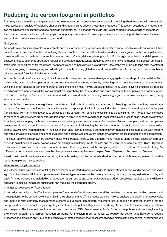### <span id="page-7-0"></span>Reducing the carbon footprint in portfolios

Summary – We are making changes to portfolios to reduce carbon intensity, in order to assist in providing a hedge against climate-related risks, particularly regulatory/legislative changes and structural shifts affecting fossil fuel producers. This section describes changes to the two main passive index funds for global shares in our portfolios. The change results in 20% lower carbon intensity, and 99% lower fossil fuel Reserve Emissions. This is just one step in our ongoing commitment to providing sustainable and robust portfolios to meet the needs and aspirations of our investors in a changing world.

#### Background

As long term custodians of wealth for our clients and their families, we must assess and plan for a host of possible risks to our clients' future capital, income, and therefore the future living standards of themselves and their families, and also their legacies. In the coming decades, investors will need to deal with risks such as interest rates, inflation, deflation, demographic shifts like aging populations and rising welfare costs, changes to economic structures, regulations, taxes, technology, whole industries dying and new ones appearing, political upheavals, trade wars, geopolitical shifts, 'cold wars', peripheral wars, and possibly even 'world wars'. One of the major risks to long term investment outcomes is going to be navigating and adjusting for impacts of rising global temperatures, and the transition away from the current heavy reliance on fossil fuels for global energy needs.

A possible 'worst case' scenario might be a future with widespread permanent damage to aggregate corporate profits caused directly or indirectly by rising global temperatures, and/or resultant weather events, and/or by radical legislation designed to cut carbon emissions. While the direct impacts of rising temperatures on plants and animals may be gradual and take many years to evolve, the possible impacts of radical government actions (like taxes or bans) would probably be more sudden and more damaging to companies and possibly whole industries. This type of 'worst case' scenario would be a world with permanently lower aggregate economic activity, incomes, living standards, and profits.

A possible 'best case' scenario might see companies and industries innovating and adapting to changing conditions, as they have always done, and/or new opportunities and companies arising to replace profits lost in legacy industries. In every structural upheaval in the past (for example: from farming to factories to offices to online careers; from candles to gas lights to electric lights; from horse-drawn carriages to trains to cars to driverless, from letters to telegraph to wired telephones and then to mobiles; from abacuses to slide rules to mainframes to laptops; from shopping malls to online sales, etc) - inevitably some companies adapt while others fail and disappear, and new companies emerge to suit, and prosper in the new conditions. Aggregate profits (including the failed incumbents that could not adapt), continue to rise, as they always have managed to do in the past. A 'best case' scenario would also require governments and legislators to act with wisdom and foresight, making far-reaching changes, quickly and decisively, taking voters with them, and with global cooperation and coordination.

The actual path will be somewhere between these two extremes. There will no doubt be many missteps along the way, especially as much depends on national and global politics, which are changing constantly. While the path and the eventual outcome in, say, 50 or 100 years is unknown and unknowable in advance, what is certain is that everyday life will be completely different in the future to what it is today. As different, or perhaps even more so, than the changes to our everyday lives over the past 50 or 100 years, or the previous 100 years.

Investors will need to navigate every step along the path, dealing with the immediate short term impacts, while keeping an eye on how the longer-term picture may be evolving.

#### What we are doing in portfolios

While these issues have been percolating for several years, we started making changes to our investment thinking and processes two years ago. Our diversified portfolios comprise several different types of assets – the main types being company shares, real estate, bonds, and cash. At times we have also included other types such as currencies and commodities (eg gold). Each asset class requires a slightly different approach to making them more sustainable and reducing their carbon footprint.

#### Changes to processes for 'Active' funds

In portfolios, we utilise a mix of 'active' and 'passive' funds. 'Active' funds have teams of skilled analysts that undertake detailed research and investigation into the companies or securities in their chosen market. This process typically involves analysts undertaking numerous visits and meetings with company management, customers, suppliers, competitors, regulators, etc, in addition to detailed analysis into the company's financial accounts, regulatory filings, tax statements, patents, litigation, and anything else relevant to the company's operations and prospects. This includes investigation into each company's 'ESG' (Environmental, Social, Governance) policies and practices, including their carbon footprint and carbon reduction programs. For inclusion in our portfolios, we require that active funds have demonstrable processes and practices on 'ESG' and the impacts of climate change in their assessment and selection of the companies in their funds. We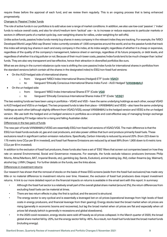require these before the approval of each fund, and we review them regularly. This is an ongoing process that is being enhanced progressively.

#### Changes to 'Passive'/'Index' funds

The role of active funds in our portfolios is to add value over a range of market conditions. In addition, we also use low-cost 'passive' / 'index' funds to reduce overall costs, and also for short/medium term 'tactical' use – ie. to increase or reduce exposures to particular markets or sectors in different parts of a market cycle (eg. over-weighting shares for rallies, under-weighting for sell-offs).

Unlike active funds, passive/index funds merely buy shares in every company in the relevant index they are tracking. For example, the 'MSCI Developed World Large/Mid-cap Shares' index currently consists of 1,500 companies around the world, and so the passive funds that track this index will simply buy shares in each and every company in the index, at its index weight, regardless of whether it is cheap or expensive, regardless of the quality of the company's management, balance sheet or earnings, regardless of its future prospects, or debt levels, and regardless ofwhether it is a big polluter or not. Because of their much lower costs, passive/index funds tend to be much cheaper than 'active' funds. They are also very transparent and tax-effective, hence their attraction in diversified portfolios like ours.

What we are doing in the current rebalance cycle now is shifting the core passive/index funds for international shares in portfolios from the standard versions (which contain all the shares in the designated index) to ESG/non-fossil fuel versions:

- On the AUD-hedged side of international shares:
	- o from: Vanguard 'MSCI Index International Shares (Hedged) ETF' (code[: VGAD\)](https://www.vanguard.com.au/adviser/products/en/detail/etf/8213/equity)
	- o to: Vanguard 'Ethically Conscious International Shares Index Fund AUD Hedged' [\(VAN0848AU\)](https://www.vanguard.com.au/adviser/products/en/detail/wholesale/8160/equity)
- On the un-hedged side:
	- o from: Vanguard 'MSCI Index International Shares ETF' (Code[: VGS\)](https://www.vanguard.com.au/adviser/products/en/detail/etf/8212/equity)
	- o to: Vanguard 'Ethically Conscious International Shares Index ETF' (Code: ['VESG'\)](https://www.vanguard.com.au/adviser/products/en/detail/etf/8225/equity)

The two existing funds we have been using in portfolios – VGAD and VGS – have the same underlying holdings as each other, except VGAD is AUD hedged and VGS is un-hedged. The two proposed funds to take their place – VAN0848AU and VESG – also have the same underlying holdings as each other (although slightly different from VGAD/VGS), except VAN0848AU is the hedged version and VESG is the un-hedged version. We use both the hedged and un-hedged versions in portfolios as a simple and cost-effective way of managing foreign exchange risk and adjusting FX hedge ratios for a rising and falling Australian dollar.

#### Differences in the two pairs of funds

The new pair of funds VAN0848AU/VESG are essentially ESG/non-fossil fuel versions of VGAD/VGS. The main difference is that the ESG/non-fossil funds exclude oil, gas and coal producers, and also power utilities that burn and produce primarily fossil fuels. These exclusions result in significant carbon emission reductions. Specifically, Carbon Intensity is reduced by around 20% (from 223 down to 175 metric tons CO<sub>2</sub>e per \$1m invested), and fossil fuel Reserve Emissions are reduced by at least 99% (from 1,900 down to 6 metric tons CO2e per \$1m invested).

In addition to the exclusion of fossil fuel producers, these funds also have a set of 'ESG' filters that screen out companies based on how they rate on several Environmental, Social and Governance measures. For example, the funds exclude tobacco producers (removes Philip Morris, Altria/Marlboro, BAT, Imperial Brands, etc), gambling (eg. Sands, Evolution), animal testing (eg. JNJ), civilian firearms (eg. Walmart), alcohol (eg. LVMH, Diageo). For further details on the funds, see the links above.

#### Differences in investment returns

Our research has shown that the removal of stocks on the basis of these ESG screens (aside from the fossil fuel exclusions) has made very little or no material difference to investment returns over time. However, the exclusion of fossil fuel producers does impact investment returns. A link to our more detailed report on the financial impacts on returns is available in the email sent with this report. In summary:

- Although the fossil fuel sector is a relatively small part of the overall global share market (around 3%), the return differences from excluding fossil fuels can be material at times.
- There are two return effects in play: the first is cyclical, and the second is structural.
- The energy sector is very cyclical and is essentially a leveraged bet on oil prices (operational leverage from high levels of fixed costs in energy producers, and financial leverage from their gearing). Energy stocks beat the broad market when oil prices are rising (generally in economic booms and recoveries), but lag the broad market when oil prices are flat and especially when oil prices fall sharply (which is generally in recessions and global slowdowns).
- In the 2020 covid recession, energy stocks were sold off heavily as oil prices collapsed. In the March quarter of 2020, the broad global share market fell by -20%, but the energy sector fell by -45%. As a result, non-fossil fuel funds beat the broad market funds (including energy).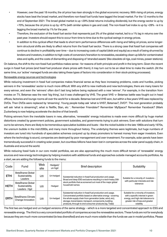- However, over the past 18 months, the oil price has risen strongly in the global economic recovery. With rising oil prices, energy stocks have beat the broad market, and therefore non-fossil fuel funds have lagged the broad market. For the 12 months to the end of September 2021: The broad global market is up +29% (total returns including dividends), but the energy sector is up by +70%, because the oil price is up by +87% (with similar spikes in gas and coal). The non-fossil fuel index is up by +28% - ie it is lagging the broad market by 1% for the year.
- Therefore, the exclusion of the fossil fuel sector that represents just 3% of the global market, led to a 1% lag in returns over the past year. Investors should expect this to occur from time to time due to the cyclical swings in energy prices.
- In addition to this cyclical effect that leads to short term performance differences with rising and falling oil prices, some longerterm structural shifts are likely to affect returns from the fossil fuel sector. There is a strong case that fossil fuel companies will continue to decline in profitability over time – due to increasing costs of capital (debt and equity) as a result of being shunned by lenders and investors, in addition to high costs of conversion/transition to renewables, escalating clean-up bills for contaminated sites and spills, and the costs of dismantling and disposing of 'stranded assets' (like obsolete oil rigs, coal mines, power stations).

On balance, the shift to the non-fossil fuel portfolios makes sense - for reasons of both principle and profit in the long term. Given the recent surge in fossil fuel prices (and fossil fuel producer share prices with them), it may turn out to be an ideal time to make the switch. (At the same time, our 'active' managed funds are also taking these types of factors into consideration in their stock-picking processes).

#### Renewable energy sources and technologies

While reducing investment in fossil fuel companies makes financial sense as they face increasing problems, costs and hurdles, picking winners in the 'renewables' sector is much more difficult. With any shift to new methods and new technologies, there are many losers for every winner, and even the 'winners' often don't last long before being replaced with a new 'winner'. For example, in the transition from movies on TV, Betamax was the next 'big thing', but it was challenged by VHS. The great VHS -v- Betamax battle was fought out in head offices, factories and lounge rooms all over the world for a decade. Betamax lost and VHS won, but within a few years VHS was replaced by DVDs. Then DVDs were replaced by 'streaming'. Young people today ask 'what is VHS?, Betamax?, DVD?'. The next generation probably will ask 'what is streaming?, what is Netflix, Stan, etc '. Remember Friendster? Remember MySpace? Remember Facebook? (Mark Zuckerberg is now helping accelerate the decline of that brand!).

Picking winners from the inevitable losers in new, alternative, 'renewable' energy industries is made even more difficult by huge market distortions created by government policies, government subsidies, and governments trying to pick winners. Even with solutions that turn out to be winners, there are likely to be tremendous speculative bubbles and busts – like the nickel bubble in the late 1960s and early 1970s, the uranium bubble in the mid-2000s, and many more throughout history. The underlying themes were legitimate, but huge numbers of investors are lured into hundreds of speculative schemes conjured up by sharp promoters to harvest money from eager investors. Even where the technology is sound, companies are destroyed by poor management and over-investment. For example, solar panels have been tremendously successful in creating solar power, but countless billions have been lost in companies across the solar panel supply chain, in Australia and around the world.

While reducing fossil fuels in our core model portfolios, we are also approaching the much more difficult terrain of 'renewable' energy sources and new energy technologies by helping investors with additional funds and approaches outside managed accounts portfolios. As a start, we are adding the following funds to the menu:

| Code        | Fund                                                        | Web<br>site | Hedged/<br>un-had | <b>Brief description</b>                                                                                                                                                                                                                                                                                      | Suitability                                                                                                                                                       |  |
|-------------|-------------------------------------------------------------|-------------|-------------------|---------------------------------------------------------------------------------------------------------------------------------------------------------------------------------------------------------------------------------------------------------------------------------------------------------------|-------------------------------------------------------------------------------------------------------------------------------------------------------------------|--|
| <b>ETHI</b> | BetaShares Global<br>Sustainability<br>Leaders              | <u>Link</u> | Un-hedged         | Substantial reduction in fossil fuel production and usage.<br>Suitable for a minority of investors -<br>Broad and deep ESG exclusions resulting in a tech-heavy 200-                                                                                                                                          |                                                                                                                                                                   |  |
| <b>HETH</b> | <b>BetaShares Global</b><br>Sustainability<br>Leaders - Hgd | Link        | Hedged            | stock portfolio that as screened out most of the major global<br>household names                                                                                                                                                                                                                              | with particular interests and risk<br>tolerance                                                                                                                   |  |
| <b>ERTH</b> | BetaShares Climate<br>Change Innovation                     | Link        | Un-hedged         | Substantial reduction in fossil fuel production and usage.<br>Concentrated portfolio based on alternative energy - covering<br>the whole supply chain from generation (solar, wind, etc),<br>storage, transmission, transport, components, building<br>products, through to end consumer products (eg. Tesla) | Suitable for a minority of investors<br>with a specific interest in green<br>energy, and high risk tolerance to<br>greater risk of loss and greater<br>volatility |  |

The first two are hedged and un-hedged versions of the same strategy – which is a more targeted and concentrated approach to ESG and renewable energy. The third is a very concentrated portfolio of companies across the renewables sectors. These funds are not for everybody because they are much more concentrated (ie less diversified) and are much more volatile than the funds we use in model portfolios. Please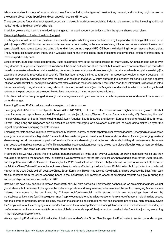talk to your advisor for more information about these funds, including what types of investors they may suit, and how they might be used in the context of your overall portfolio and your specific needs and interests.

These are passive funds that track specific, specialist indexes. In addition to specialised index funds, we also will be including additional 'active' funds to this list of preferred funds.

In addition, we are also making the following changes to managed account portfolios – within the 'global shares' asset class.

#### Removing Magellan Infrastructure fund (hedged)

The Magellan Infrastructure fund has been a successful long term holding in our portfolios during the period of declining inflation and bond yields (the post-GFC 'QE' boom), but is now not considered a core holding in the scenario of rising inflation and interest rates in the medium term. Listed infrastructure stocks (including this fund) thrived during the post-GFC 'QE' boom with declining interest rates and bond yields. The fund beat its infrastructure index, and it was also beating the overall global share index until the covid crisis, which hit infrastructure revenues particularly hard.

Listed infrastructure (and also listed property trusts as a group) have acted as 'bond proxies' for many years. What this means is that, over long (decade-plus) periods, they have returned about the same as the broad share market, but infrastructure consistently out-performs the broad share market when bond yields are falling (for example in recessions and slowdowns), but lag shares when bond yields are rising (for example in economic recoveries and booms). This has been a very distinct pattern over numerous past cycles in recent decades – in Australia and globally. Our base case over the past year has been that 2020 will turn out to be the low point for bond yields and negative inflation, and that inflation, bond yields and interest rates will rise in the medium term. If that is the case, then infrastructure (as well as listed property) are likely to lag shares in a rising rate world. In short, infrastructure (and the Magellan fund) rode the tailwind of declining interest rates over the past decade, but are now likely to face headwinds of rising interest rates in future.

In its place on the 'currency hedged' side of global shares, we are adding an international small companies index fund – refer to later section on fund changes.

#### Removing iShares 'IEM' to reduce passive emerging markets exposure

'Emerging Markets' is a term used by index houses (like S&P, MSCI, FTSE, etc) to refer to countries with higher economic growth rates but lower incomes per capita than so-called 'Developed' markets (ie US, Japan, Western Europe, Canada, Australia, NZ). 'Emerging Markets' include China, most of South Asia (including India), Latin America, South East Asia and Eastern Europe (including Russia). (South Korea, Taiwan, Hong Kong and Singapore can be classified as either 'emerging' or 'developed' in different indexes). China makes up by far the largest proportion of emerging markets indexes.

Emerging markets shares as a group have traditionally behaved in a very consistent pattern over several decades. Emerging markets shares as a group are essentially a 'high-beta', 'pro-cyclical' barometer of global investor sentiment and confidence. As such, emerging markets shares as a group almost always outperform 'developed' markets shares in global rallies and rebounds, but they almost always suffer worse than developed markets in global sell-offs. This pattern has been consistent over many cycles regardless of local pricing or local conditions in each country. (The same is true for 'small cap' stocks as a group).

In our portfolios, we have utilised this 'pro-cyclical' pattern successfully in the past – by over-weighting emerging markets for rallies, and then reducing or removing them for sell-offs. For example, we removed IEM for the late-2018 sell-off, then added it back for the 2019 rebound, and the pattern worked like clockwork. However, for the 2020 covid sell-off we retained IEM (which was unusual for us in a sell-off) because we felt that China/Taiwan/Korea tech stocks were likely to be less affected by the lockdowns. IEM did in fact hold up better than the broad market in the 2020 Covid sell-off, because China, South Korea and Taiwan had tackled Covid early, and also because the East Asian tech stocks benefited from the online spending boom in the lockdowns. IEM remained ahead of developed markets as a group during the subsequent global recovery into early-mid 2021.

However, we have now decided to remove the index fund 'IEM' from portfolios. This time it is not because we are shifting to under-weight global shares, but because of changes in the index composition and likely relative performance of the sector. Emerging Markets share indexes have come to be dominated by Chinese tech/online/social media stocks, which are increasingly been driven by political/geopolitical risks (eg Chinese government' capricious regulatory / retaliatory actions, for a variety of reasons including data access and the 'common prosperity' drive). This may result in the sector losing its traditional role as a standard pro-cyclical, high-beta play. Given the 'lumpy' nature of the emerging markets index funds and the unusual political risks facing Chinese stocks which dominate the index, we prefer to rely on active management (via our active global share funds in portfolios) rather than passive index funds that just buy everything in the index, regardless of merit.

We are replacing IEM with an additional active global share fund – Capital Group New Perspective Fund - refer to section on fund changes.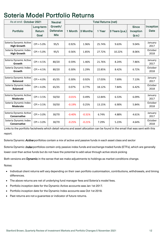## <span id="page-11-0"></span>Soteria Model Portfolio Returns

| As at end: October 2021                      |              | <b>Neutral</b>   | <b>Total Returns (net)</b> |          |        |                |              |                  |
|----------------------------------------------|--------------|------------------|----------------------------|----------|--------|----------------|--------------|------------------|
|                                              | Long-term    | Growth/          |                            |          |        |                | <b>Since</b> | <b>Inception</b> |
| <b>Portfolio</b>                             | Return       | <b>Defensive</b> | 1 Month                    | 3 Months | 1 Year | 3 Years (p.a.) | Inception    | <b>Date</b>      |
|                                              | Goal         | <b>Mix</b>       |                            |          |        |                | (p.a.)       |                  |
|                                              |              |                  |                            |          |        |                |              |                  |
| Soteria Dynamic Active<br><b>High Growth</b> | $CPI + 5.0%$ | 95/5             | 0.92%                      | 1.96%    | 25.74% | 9.63%          | 9.04%        | January<br>2017  |
| Soteria Dynamic Index<br><b>High Growth</b>  | $CPI + 5.0%$ | 95/5             | 0.56%                      | 1.85%    | 27.72% | 10.22%         | 8.06%        | October<br>2018  |
| Soteria Dynamic Active                       |              |                  |                            |          |        |                |              | January          |
| Growth                                       | $CPI + 4.5%$ | 80/20            | 0.59%                      | 1.46%    | 21.76% | 8.24%          | 7.86%        | 2017             |
| Soteria Dynamic Index<br>Growth              | $CPI + 4.5%$ | 80/20            | 0.30%                      | 1.29%    | 22.85% | 8.42%          | 6.72%        | October<br>2018  |
|                                              |              |                  |                            |          |        |                |              |                  |
| Soteria Dynamic Active<br><b>Balanced</b>    | $CPI + 4.0%$ | 65/35            | 0.30%                      | 0.92%    | 17.03% | 7.69%          | 7.13%        | January<br>2017  |
| Soteria Dynamic Index<br><b>Balanced</b>     | $CPI + 4.0%$ | 65/35            | 0.07%                      | 0.77%    | 18.12% | 7.84%          | 6.42%        | October<br>2018  |
|                                              |              |                  |                            |          |        |                |              |                  |
| Soteria Dynamic Active<br><b>Moderate</b>    | $CPI + 3.5%$ | 50/50            | $-0.01%$                   | 0.49%    | 12.84% | 6.53%          | 6.09%        | January<br>2017  |
| Soteria Dynamic Index<br><b>Moderate</b>     | $CPI + 3.5%$ | 50/50            | $-0.19%$                   | 0.25%    | 13.15% | 6.90%          | 5.84%        | October<br>2018  |
|                                              |              |                  |                            |          |        |                |              |                  |
| Soteria Dynamic Active<br>Conservative       | $CPI + 3.0%$ | 30/70            | $-0.40%$                   | $-0.31%$ | 6.74%  | 4.88%          | 4.61%        | January<br>2017  |
| Soteria Dynamic Index<br>Conservative        | $CPI + 3.0%$ | 30/70            | $-0.25%$                   | $-0.21%$ | 7.29%  | 5.23%          | 4.64%        | October<br>2018  |

Links to the portfolio factsheets which detail returns and asset allocation can be found in the email that was sent with this report.

Soteria Dynamic *Active* portfolios contain a mix of active and passive funds in each asset class and sector

Soteria Dynamic *Index* portfolios contain only passive index funds and exchange-traded funds (ETFs), which are generally lower cost than active funds but do not have the potential to add value through active stock-picking

Both versions are Dynamic in the sense that we make adjustments to holdings as market conditions change.

Notes:

- Individual client returns will vary depending on their own portfolio customisation, contributions, withdrawals, and timing differences.
- The above returns are net of underlying fund manager fees and Soteria's model fees.
- Portfolio inception date for the Dynamic Active accounts was Jan 1st 2017.
- Portfolio inception date for the Dynamic Index accounts was Oct 1st 2018.
- Past returns are not a quarantee or indicator of future returns.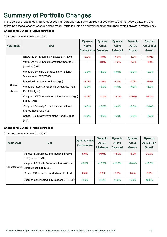## <span id="page-12-0"></span>Summary of Portfolio Changes<br>In the portfolio rebalance in November 2021, all portfolio holdings were rebalanced back to their target weights, and the

following asset allocation changes were made. Portfolios remain neutrally positioned in their overall growth/defensive mix.

#### Changes to Dynamic Active portfolios:

Changes made in November 2021

| <b>Asset Class</b>      | <b>Fund</b>                                                           | <b>Dynamic</b><br>Active<br>Conservative | <b>Dynamic</b><br><b>Active</b><br>Moderate | <b>Dynamic</b><br>Active<br><b>Balanced</b> | <b>Dynamic</b><br>Active<br>Growth | <b>Dynamic</b><br><b>Active High</b><br>Growth |
|-------------------------|-----------------------------------------------------------------------|------------------------------------------|---------------------------------------------|---------------------------------------------|------------------------------------|------------------------------------------------|
|                         | iShares MSCI Emerging Markets ETF (IEM)                               | $-2.0%$                                  | $-3.0%$                                     | $-4.0%$                                     | $-5.0%$                            | $-5.0%$                                        |
|                         | Vanguard MSCI Index International Shares ETF<br>(Un-Hgd) (VGS)        |                                          | $-3.0%$                                     | $-4.0%$                                     | $-4.0%$                            | $-4.0%$                                        |
|                         | Vanguard Ethically Conscious International<br>Shares Index ETF (VESG) | $+2.0%$                                  | $+6.0%$                                     | $+8.0%$                                     | $+9.0%$                            | $+9.0%$                                        |
|                         | Magellan Infrastructure Fund (Hgd)                                    | $-2.0%$                                  | $-3.0\%$                                    | $-4.0\%$                                    | $-4.0%$                            | $-5.0%$                                        |
| Global<br><b>Shares</b> | Vanguard International Small Companies Index<br>Fund (Hedged)         | $+2.0%$                                  | $+3.0%$                                     | $+4.0%$                                     | $+4.0%$                            | $+5.0%$                                        |
|                         | Vanguard MSCI Index International Shares (Hgd)<br>ETF (VGAD)          | $-6.0%$                                  | $-10.0%$                                    | $-13.0%$                                    | $-16.0%$                           | $-18.0%$                                       |
|                         | Vanguard Ethically Conscious International<br>Shares Index Fund Hgd   | $+4.0%$                                  | $+6.0%$                                     | $+8.0%$                                     | $+9.0%$                            | $+10.0%$                                       |
|                         | Capital Group New Perspective Fund Hedged<br>(AU)                     | $+2.0%$                                  | $+4.0%$                                     | $+5.0%$                                     | $+7.0%$                            | $+8.0%$                                        |

#### Changes to Dynamic Index portfolios:

Changes made in November 2021

| <b>Asset Class</b> | <b>Fund</b>                                                           | <b>Dynamic Active</b><br>Conservative | <b>Dynamic</b><br>Active<br><b>Moderate</b> | <b>Dynamic</b><br>Active<br><b>Balanced</b> | <b>Dynamic</b><br><b>Active</b><br>Growth | <b>Dynamic</b><br><b>Active High</b><br><b>Growth</b> |
|--------------------|-----------------------------------------------------------------------|---------------------------------------|---------------------------------------------|---------------------------------------------|-------------------------------------------|-------------------------------------------------------|
|                    | Vanguard MSCI Index International Shares<br>ETF (Un-Hgd) (VGS)        | $-5.0\%$                              | $-10.0\%$                                   | $-14.0\%$                                   | $-16.0\%$                                 | $-20.0\%$                                             |
| Global Shares      | Vanguard Ethically Conscious International<br>Shares Index ETF (VESG) | $+5.0\%$                              | $+10.0\%$                                   | $+14.0%$                                    | $+16.0%$                                  | $+20.0%$                                              |
|                    | iShares MSCI Emerging Markets ETF (IEM)                               | $-2.0\%$                              | $-3.0\%$                                    | $-4.0\%$                                    | $-5.0\%$                                  | $-5.0%$                                               |
|                    | <b>BetaShares Global Quality Leaders ETF QLTY</b>                     | $+2.0%$                               | $+3.0\%$                                    | $+4.0%$                                     | $+5.0%$                                   | $+5.0%$                                               |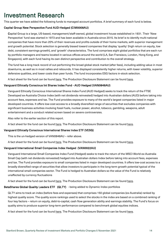<span id="page-13-0"></span>Investment Research **Inversion Child Account Convertion Child Account Portfolios.** A brief summary of each fund is below.

#### Capital Group New Perspective Fund AUD-Hedged (CIM0008AU)

Capital Group is a large, US-based, management/staff-owned, global investment house established in 1931. Their 'New Perspective' fund was started in 1973 and has been available in Australia since 2015. Its brief is to identify multi-national companies that have more than 20% of their revenues and profits outside of their home markets, with superior management and growth potential. Stock selection is generally biased toward companies that display 'quality' (high return on equity, low debt, consistent earnings growth), and 'growth' characteristics. The fund comprises eight global portfolios that are each run by portfolio managers and teams located in various offices around the world (LA, San Fransisco, London, Hong Kong, and Singapore), with each fund having its own distinct perspective and contribution to the overall strategy.

The fund has a long track record of out-performing the broad global stock market (after fees), including adding value in most downturns, as well as in most rallies and rebounds. It has displayed consistently higher returns, with lower volatility, superior defensive qualities, and lower costs than peer funds. The fund incorporates ESG factors in-stock selection.

A fact sheet for the fund can be found [here.](https://documentscdn.financialexpress.net/Literature/F3EAE9CFF0EB5AA9C8D279A8A26FE80C/179830249.pdf) The Production Disclosure Statement can be found [here.](https://documentscdn.financialexpress.net/Literature/0687C260368C681124C4BC7E19A62F92/179447413.pdf)

#### Vanguard Ethically Conscious Int Shares Index Fund - AUD Hedged (VAN0848AU)

Vanguard Ethically Conscious International Shares Index Fund (AUD Hedged) seeks to track the return of the FTSE Developed ex-Australia Choice Index (with net dividends reinvested) hedged into Australian dollars (AUD) before taking into account fees, expenses and tax. The Fund provides exposure to many of the world's largest companies listed in major developed countries. It offers low-cost access to a broadly diversified range of securities that excludes companies with significant business activities involving fossil fuels, nuclear power, alcohol, tobacco, gambling, weapons, adult entertainment and a conduct related screen based on severe controversies.

Also refer to the earlier section of this report.

A fact sheet for the fund can be found [here.](https://documentscdn.financialexpress.net/Literature/2AFA79AF6F57284BF94A280236AA1B67/180194230.pdf) The Production Disclosure Statement can be found [here.](https://www.vanguard.com.au/personal/products/documents/34527/AU)

#### Vanguard Ethically Conscious International Shares Index ETF (VESG)

This is the un-hedged version of VAN0848AU – refer above.

A fact sheet for the fund can be found [here.](https://www.vanguard.com.au/personal/products/documents/32099/AU) The Production Disclosure Statement can be found [here.](https://www.vanguard.com.au/personal/products/documents/17588/AU)

#### Vanguard International Small Companies Index Hedged (VAN0022AU)

Vanguard International Small Companies Index Fund (Hedged) seeks to track the return of the MSCI World ex-Australia Small Cap (with net dividends reinvested) hedged into Australian dollars Index before taking into account fees, expenses and tax. The Fund provides exposure to small companies listed in major developed countries. It offers low-cost access to a broadly diversified range of securities that allow investors to participate in the long-term growth potential typical of the international small companies sector. The Fund is hedged to Australian dollars so the value of the Fund is relatively unaffected by currency fluctuations

A fact sheet for the fund can be found [here.](https://documentscdn.financialexpress.net/Literature/0EFA165B602C7825E0DC2A154C4CFC5E/180192441.pdf) The Production Disclosure Statement can be found [here.](https://www.vanguard.com.au/personal/products/documents/7647/AU)

#### BetaShares Global Quality Leaders ETF (QLTY) - being added to Dynamic Index portfolios

QLTY aims to track an index (before fees and expenses) that comprises 150 global companies (ex-Australia) ranked by highest quality score. The quality score rankings used to select the stocks in the index are based on a combined ranking of four key factors – return on equity, debt-to-capital, cash flow generation ability and earnings stability. The Fund's focus on quality aims to produce superior long-term performance compared to benchmark global equities indices.

A fact sheet for the fund can be found [here.](https://www.betashares.com.au/files/factsheets/QLTY-Factsheet.pdf) The Production Disclosure Statement can be found [here.](https://www.betashares.com.au/files/collateral/pds/QLTY-pds.pdf)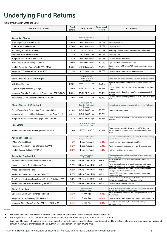## <span id="page-14-0"></span>Underlying Fund Returns

12 months to 31<sup>st</sup> October 2021

| <b>Asset Class / Funds</b>                                | <b>Fund</b><br>return | <b>Benchmark</b>                                                | <b>Benchmark</b><br>return | <b>Comments</b>                                                                                                               |
|-----------------------------------------------------------|-----------------------|-----------------------------------------------------------------|----------------------------|-------------------------------------------------------------------------------------------------------------------------------|
| Australian Shares                                         |                       | All Ords Accumulation                                           |                            |                                                                                                                               |
| Greencape Capital Broadcap Fund                           | 25.8%                 | Index<br>All Ords Accum                                         | 29.0%                      | Factor/Style Neutral                                                                                                          |
| <b>Fidelity Aust Equities Fund</b>                        | 27.0%                 | All Ords Accum                                                  | 29.0%                      | Large-cap broad.                                                                                                              |
| Bennelong ex-20 Aust Equities                             | 38.7%                 | ASX300 ex-20                                                    | 26.0%                      | A mid-cap fund that tends to avoid big banks and miners.                                                                      |
| Ironbark Karara Small Co Fund                             | 17.8%                 | <b>ASX Small Ords</b>                                           | 31.0%                      | Small-cap fund.                                                                                                               |
| Vanquard Aust Shares ETF - VAS                            | 28.3%                 | All Ords Accum                                                  | 29.0%                      | Low-cost passive index fund.                                                                                                  |
| Allan Gray Australia Equity - Class B                     | 39.9%                 | All Ords Accum                                                  | 29.0%                      | High conviction contrarian value fund.                                                                                        |
| VanEck Australian Equal Weight ETF – MVW                  | 25.3%                 | All Ords Accum                                                  | 29.0%                      | Equal weights the 85 largest ASX stocks, resulting in a mid-                                                                  |
| Vanguard 'VSO' – small companies ETF                      | 31.5%                 | <b>ASX Small Ords</b>                                           | 31.0%                      | cap bias.<br>Low-cost passive ETF of small ASX companies.                                                                     |
|                                                           |                       |                                                                 |                            |                                                                                                                               |
| Global Shares - AUD Un-Hedged                             |                       | <b>MSCI ACWI (All</b><br>Countries World Index)<br>\$A Unhedged |                            | Unhedged foreign shares out-perform hedged when the AUD declines.                                                             |
| MFS Global (Un-Hgd)                                       | 29.2%                 | <b>MSCI ACWI UnH</b>                                            | 28.4%                      | A growth-oriented fund that has outperformed in recent sell-<br>offs.                                                         |
| Magellan High Conviction (Un-Hgd)                         | 15.6%                 | MSCI ACWI UnH                                                   | 28.4%                      | Concentrated portfolio with the same philosophy as Magellan<br>Global.                                                        |
| Vanguard Ethically Conscious Int. Shares Index ETF (VESG) | 28.9%                 | <b>MSCI ACWI UnH</b>                                            | 28.4%                      | Low cost passive diversified index fund for developed stock<br>markets                                                        |
| BetaShares Global Quality Leaders ETF - QLTY              | 24.9%                 | <b>MSCI ACWI UnH</b>                                            | 28.4%                      | Low-cost ETF for Emerging Markets, 30% in China, 40% other<br>Asia.                                                           |
| Global Shares - AUD Hedged                                |                       | <b>MSCI ACWI (All</b><br>Countries World Index)<br>\$A Hedged   |                            | Hedged foreign shares out-perform un-hedged when the AUD rises.                                                               |
| Capital Group New Perspective Fund Hedged (AU)            | 41.0%                 | MSCI ACWI Hgd                                                   | 36.2%                      | Listed global infrastructure fund.                                                                                            |
| Vanguard International Small Companies Index Fund (Hgd)   | 44.1%                 | MSCI ACWI Hgd                                                   | 36.2%                      |                                                                                                                               |
| Vanguard International Shares (Hgd) ETF - VGAD            | 38.7%                 | MSCI ACWI Hgd                                                   | 36.2%                      | Low cost passive diversified index fund for developed stock<br>markets.                                                       |
| <b>Real Estate</b>                                        |                       | 50% A-REIT TR + 50%<br>REIT TR (Hgd AUD)                        |                            |                                                                                                                               |
| VanEck Vectors Australian Property ETF - MVA              | 32.0%                 | ASX200 A-REIT                                                   | 30.9%                      | Equal weighted Australian listed property ETF that has<br>outperformed the index and most active managers in recent<br>years. |
| Australian Fixed Rate                                     |                       | <b>Bloomberg Australian</b><br>Composite Bond Index             |                            | Fixed-rate bonds benefit from falling long term interest rates - usually<br>in anticipation of economic slowdowns.            |
| PIMCO WS Aust Bond                                        | $-4.9%$               | B'erg AusBond                                                   | $-5.3%$                    | An active broad investment-grade bond fund                                                                                    |
| Vanguard Australian Fixed Interest Index VAF              | $-5.3%$               | B'erg AusBond                                                   | -5.3%                      | Passive investment grade gov, semi-gov & corporate debt                                                                       |
| VanEck Corporate Bond ETF PLUS                            | $-3.0%$               | B'erg AusBond                                                   | $-5.3%$                    | High-grade AUD corporate bonds                                                                                                |
| <b>Australian Floating Rate</b>                           |                       | <b>Bloomberg AusBond</b><br>Credit FRN                          |                            | Floating rate notes benefit from rising rates (whereas fixed-rate are<br>hurt by rising rates)                                |
| Perpetual Wholesale Diversified Income Fund               | 3.6%                  | <b>B'Berg Credit FRN</b>                                        | 0.5%                       | Active diversified mostly investment-grade floating-rate<br>notes fund                                                        |
| Janus Henderson Tactical Income Fund                      | 0.3%                  | <b>B'Berg Credit FRN</b>                                        | $0.5\%$                    | Active high grade debt fund. Mostly corporate floating rate<br>with some exposure to longer duration government debt.         |
| Ardea Real Outcome Fund                                   | $-0.8%$               | <b>B'Berg Credit FRN</b>                                        | 0.5%                       | Australian government bond fund with an 'absolute return<br>strategy. Low interest and credit risk.                           |
| VanEck Australian Subordinated Debt ETF                   | 2.5%                  | <b>B'Berg Credit FRN</b>                                        | 0.5%                       | Passive ETF of investment grade, Australian dollar, bank<br>subordinated debt.                                                |
| BetaShares Australian Bank Senior Floating Rate Bond ETF  | $0.1\%$               | <b>B'Berg Credit FRN</b>                                        | $0.5\%$                    | Passive ETF of investment grade, Australian dollar, senior                                                                    |
| VanEck Vectors Australian Floating Rate ETF               | 0.5%                  | <b>B'Berg Credit FRN</b>                                        | 0.5%                       | floating rate notes issued by Australian banks.<br>Low-cost passive floating rate fund                                        |
| <b>Global Fixed Rate</b>                                  |                       | <b>Bloomberg Global</b><br>Aggregate Hgd AUD                    |                            | A mix of Government, Semi-Gov, Corporate investment-grade fixed-<br>rate bonds across the US, Europe and Asia                 |
| Colchester Global Government Bond Fund                    | $-2.0%$               | Global Agg                                                      | $-1.0%$                    | Active government bond fund that takes positions on bonds<br>& currencies                                                     |
| Vanguard Global Treasury ETF (Hgd) VIF                    |                       |                                                                 |                            |                                                                                                                               |
|                                                           | $-2.5%$               | Global Agg                                                      | $-1.0%$                    | Low-cost passive fund of global Inv Grade government bonds                                                                    |

Notes:

The above table does not include funds that clients may hold outside the Soteria Managed Account portfolios

The weights of each asset class differ in each of the Model Portfolios. Refer to separate reports for each portfolio. Care should be taken when interpreting returns over short periods. Each of the active funds have demonstrated long histories of outperformance over many years and through many types of market conditions, but they will all underperform from time to time